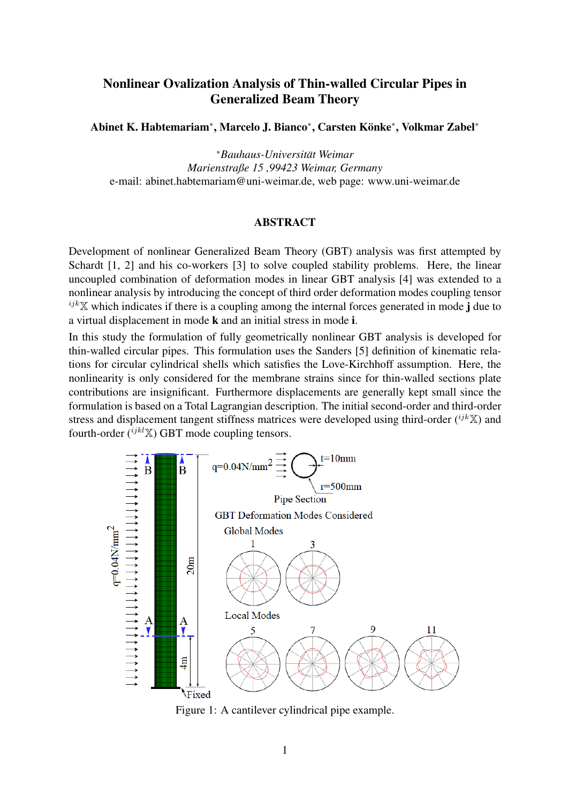## Nonlinear Ovalization Analysis of Thin-walled Circular Pipes in Generalized Beam Theory

Abinet K. Habtemariam<sup>∗</sup>, Marcelo J. Bianco<sup>∗</sup>, Carsten Könke<sup>∗</sup>, Volkmar Zabel<sup>∗</sup>

<sup>∗</sup>*Bauhaus-Universitat Weimar ¨ Marienstraße 15 ,99423 Weimar, Germany* e-mail: abinet.habtemariam@uni-weimar.de, web page: [www.uni-weimar.de](https://www.uni-weimar.de/de/bauingenieurwesen/institute/ism/)

## ABSTRACT

Development of nonlinear Generalized Beam Theory (GBT) analysis was first attempted by Schardt [\[1,](#page-1-0) [2\]](#page-1-1) and his co-workers [\[3\]](#page-1-2) to solve coupled stability problems. Here, the linear uncoupled combination of deformation modes in linear GBT analysis [\[4\]](#page-1-3) was extended to a nonlinear analysis by introducing the concept of third order deformation modes coupling tensor  $ijk\mathbb{X}$  which indicates if there is a coupling among the internal forces generated in mode j due to a virtual displacement in mode k and an initial stress in mode i.

In this study the formulation of fully geometrically nonlinear GBT analysis is developed for thin-walled circular pipes. This formulation uses the Sanders [\[5\]](#page-1-4) definition of kinematic relations for circular cylindrical shells which satisfies the Love-Kirchhoff assumption. Here, the nonlinearity is only considered for the membrane strains since for thin-walled sections plate contributions are insignificant. Furthermore displacements are generally kept small since the formulation is based on a Total Lagrangian description. The initial second-order and third-order stress and displacement tangent stiffness matrices were developed using third-order  $({}^{ijk}\mathbb{X})$  and fourth-order  $({}^{ijkl}\mathbb{X})$  GBT mode coupling tensors.

<span id="page-0-0"></span>

Figure 1: A cantilever cylindrical pipe example.